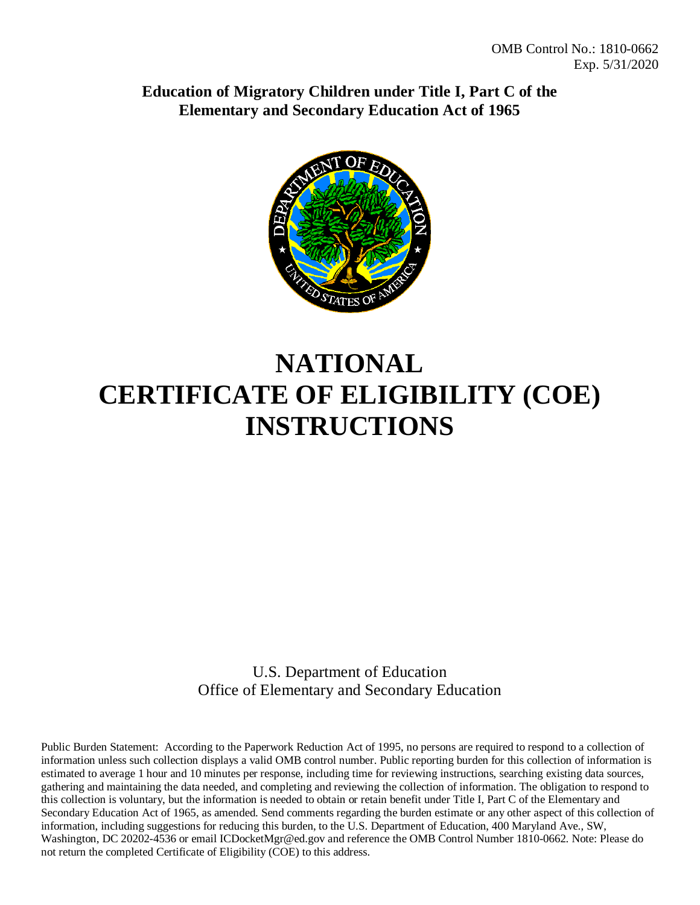**Education of Migratory Children under Title I, Part C of the Elementary and Secondary Education Act of 1965**



# **NATIONAL CERTIFICATE OF ELIGIBILITY (COE) INSTRUCTIONS**

U.S. Department of Education Office of Elementary and Secondary Education

Public Burden Statement:According to the Paperwork Reduction Act of 1995, no persons are required to respond to a collection of information unless such collection displays a valid OMB control number. Public reporting burden for this collection of information is estimated to average 1 hour and 10 minutes per response, including time for reviewing instructions, searching existing data sources, gathering and maintaining the data needed, and completing and reviewing the collection of information. The obligation to respond to this collection is voluntary, but the information is needed to obtain or retain benefit under Title I, Part C of the Elementary and Secondary Education Act of 1965, as amended. Send comments regarding the burden estimate or any other aspect of this collection of information, including suggestions for reducing this burden, to the U.S. Department of Education, 400 Maryland Ave., SW, Washington, DC 20202-4536 or email ICDocketMgr@ed.gov and reference the OMB Control Number 1810-0662. Note: Please do not return the completed Certificate of Eligibility (COE) to this address.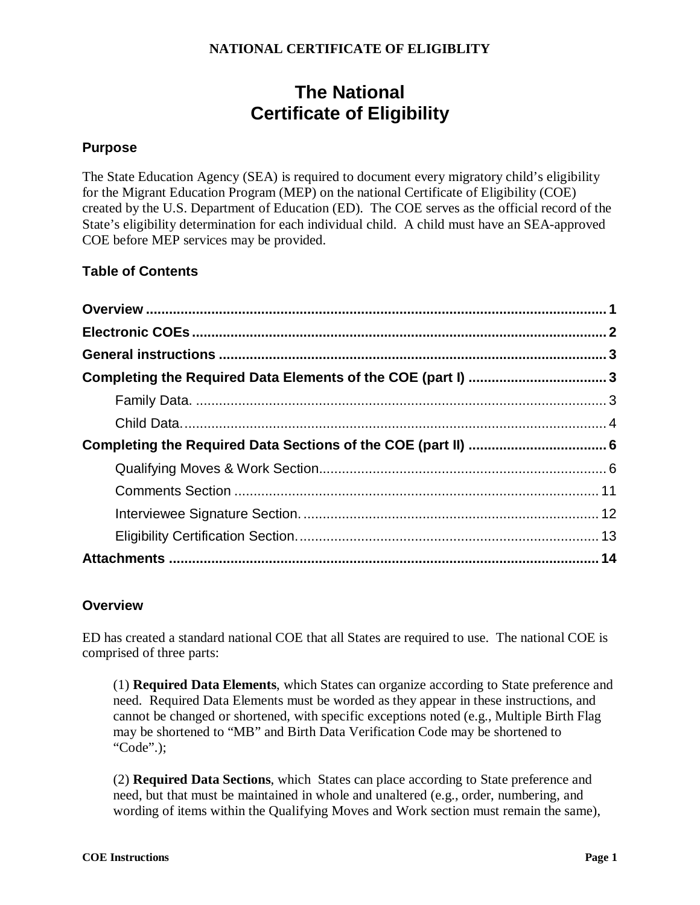# **The National Certificate of Eligibility**

#### **Purpose**

The State Education Agency (SEA) is required to document every migratory child's eligibility for the Migrant Education Program (MEP) on the national Certificate of Eligibility (COE) created by the U.S. Department of Education (ED). The COE serves as the official record of the State's eligibility determination for each individual child. A child must have an SEA-approved COE before MEP services may be provided.

## **Table of Contents**

#### <span id="page-1-0"></span>**Overview**

ED has created a standard national COE that all States are required to use. The national COE is comprised of three parts:

(1) **Required Data Elements**, which States can organize according to State preference and need. Required Data Elements must be worded as they appear in these instructions, and cannot be changed or shortened, with specific exceptions noted (e.g., Multiple Birth Flag may be shortened to "MB" and Birth Data Verification Code may be shortened to "Code".);

(2) **Required Data Sections**, which States can place according to State preference and need, but that must be maintained in whole and unaltered (e.g., order, numbering, and wording of items within the Qualifying Moves and Work section must remain the same),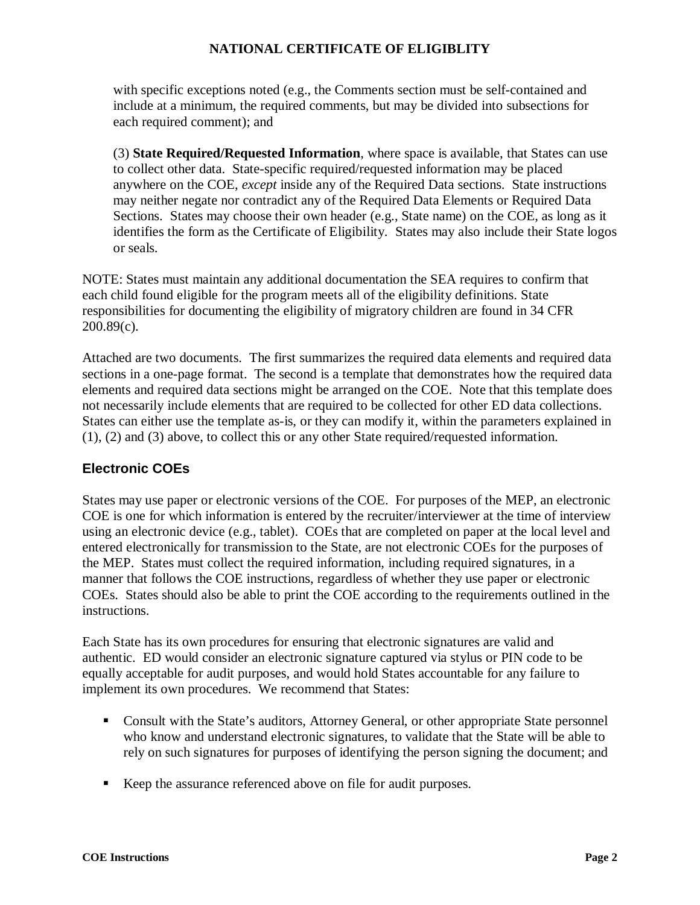with specific exceptions noted (e.g., the Comments section must be self-contained and include at a minimum, the required comments, but may be divided into subsections for each required comment); and

(3) **State Required/Requested Information**, where space is available, that States can use to collect other data. State-specific required/requested information may be placed anywhere on the COE, *except* inside any of the Required Data sections. State instructions may neither negate nor contradict any of the Required Data Elements or Required Data Sections. States may choose their own header (e.g., State name) on the COE, as long as it identifies the form as the Certificate of Eligibility. States may also include their State logos or seals.

NOTE: States must maintain any additional documentation the SEA requires to confirm that each child found eligible for the program meets all of the eligibility definitions. State responsibilities for documenting the eligibility of migratory children are found in 34 CFR 200.89(c).

Attached are two documents. The first summarizes the required data elements and required data sections in a one-page format. The second is a template that demonstrates how the required data elements and required data sections might be arranged on the COE. Note that this template does not necessarily include elements that are required to be collected for other ED data collections. States can either use the template as-is, or they can modify it, within the parameters explained in (1), (2) and (3) above, to collect this or any other State required/requested information.

# <span id="page-2-0"></span>**Electronic COEs**

States may use paper or electronic versions of the COE. For purposes of the MEP, an electronic COE is one for which information is entered by the recruiter/interviewer at the time of interview using an electronic device (e.g., tablet). COEs that are completed on paper at the local level and entered electronically for transmission to the State, are not electronic COEs for the purposes of the MEP. States must collect the required information, including required signatures, in a manner that follows the COE instructions, regardless of whether they use paper or electronic COEs. States should also be able to print the COE according to the requirements outlined in the instructions.

Each State has its own procedures for ensuring that electronic signatures are valid and authentic. ED would consider an electronic signature captured via stylus or PIN code to be equally acceptable for audit purposes, and would hold States accountable for any failure to implement its own procedures. We recommend that States:

- Consult with the State's auditors, Attorney General, or other appropriate State personnel who know and understand electronic signatures, to validate that the State will be able to rely on such signatures for purposes of identifying the person signing the document; and
- Keep the assurance referenced above on file for audit purposes.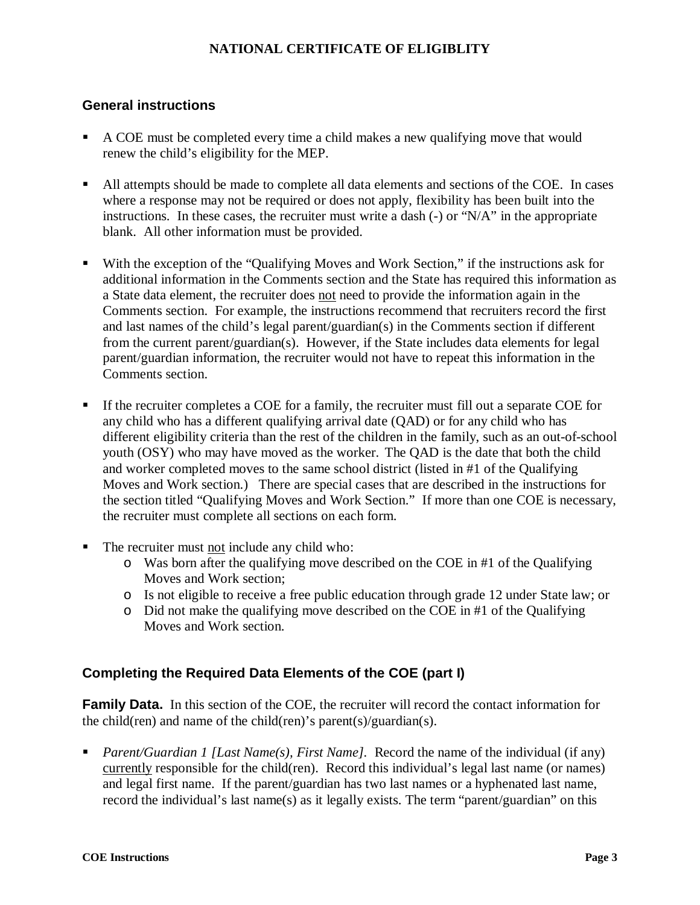#### <span id="page-3-0"></span>**General instructions**

- A COE must be completed every time a child makes a new qualifying move that would renew the child's eligibility for the MEP.
- All attempts should be made to complete all data elements and sections of the COE. In cases where a response may not be required or does not apply, flexibility has been built into the instructions. In these cases, the recruiter must write a dash  $(-)$  or " $N/A$ " in the appropriate blank. All other information must be provided.
- With the exception of the "Qualifying Moves and Work Section," if the instructions ask for additional information in the Comments section and the State has required this information as a State data element, the recruiter does not need to provide the information again in the Comments section. For example, the instructions recommend that recruiters record the first and last names of the child's legal parent/guardian(s) in the Comments section if different from the current parent/guardian(s). However, if the State includes data elements for legal parent/guardian information, the recruiter would not have to repeat this information in the Comments section.
- If the recruiter completes a COE for a family, the recruiter must fill out a separate COE for any child who has a different qualifying arrival date (QAD) or for any child who has different eligibility criteria than the rest of the children in the family, such as an out-of-school youth (OSY) who may have moved as the worker. The QAD is the date that both the child and worker completed moves to the same school district (listed in #1 of the Qualifying Moves and Work section.) There are special cases that are described in the instructions for the section titled "Qualifying Moves and Work Section." If more than one COE is necessary, the recruiter must complete all sections on each form.
- The recruiter must not include any child who:
	- o Was born after the qualifying move described on the COE in #1 of the Qualifying Moves and Work section;
	- o Is not eligible to receive a free public education through grade 12 under State law; or
	- $\circ$  Did not make the qualifying move described on the COE in #1 of the Qualifying Moves and Work section.

#### <span id="page-3-1"></span>**Completing the Required Data Elements of the COE (part I)**

<span id="page-3-2"></span>**Family Data.** In this section of the COE, the recruiter will record the contact information for the child(ren) and name of the child(ren)'s parent(s)/guardian(s).

 *Parent/Guardian 1 [Last Name(s), First Name].* Record the name of the individual (if any) currently responsible for the child(ren). Record this individual's legal last name (or names) and legal first name. If the parent/guardian has two last names or a hyphenated last name, record the individual's last name(s) as it legally exists. The term "parent/guardian" on this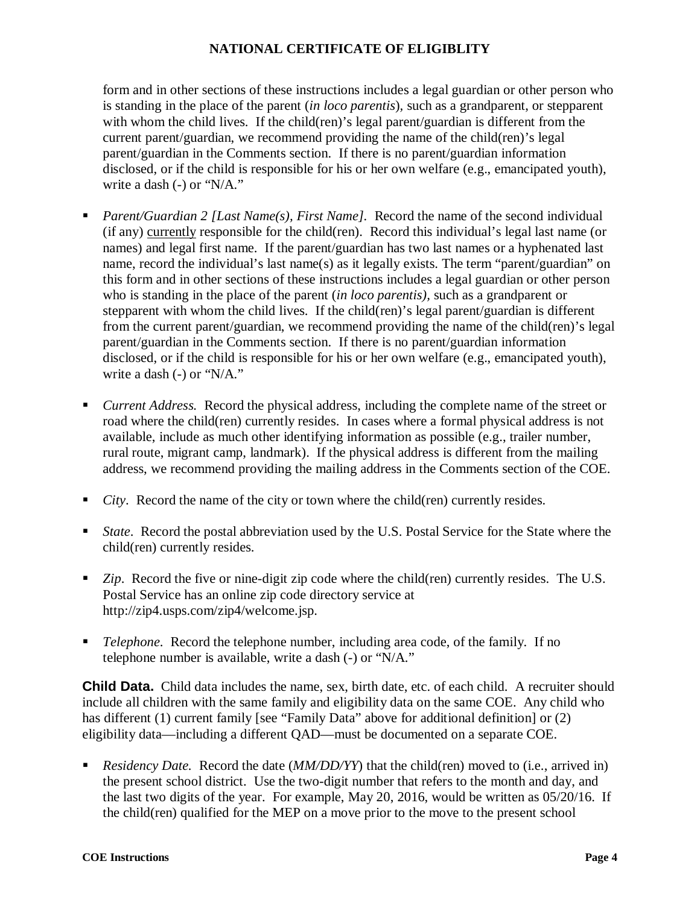form and in other sections of these instructions includes a legal guardian or other person who is standing in the place of the parent (*in loco parentis*)*,* such as a grandparent, or stepparent with whom the child lives. If the child(ren)'s legal parent/guardian is different from the current parent/guardian, we recommend providing the name of the child(ren)'s legal parent/guardian in the Comments section. If there is no parent/guardian information disclosed, or if the child is responsible for his or her own welfare (e.g., emancipated youth), write a dash (-) or "N/A."

- *Parent/Guardian 2 [Last Name(s), First Name].* Record the name of the second individual (if any) currently responsible for the child(ren). Record this individual's legal last name (or names) and legal first name. If the parent/guardian has two last names or a hyphenated last name, record the individual's last name(s) as it legally exists. The term "parent/guardian" on this form and in other sections of these instructions includes a legal guardian or other person who is standing in the place of the parent (*in loco parentis),* such as a grandparent or stepparent with whom the child lives. If the child(ren)'s legal parent/guardian is different from the current parent/guardian, we recommend providing the name of the child(ren)'s legal parent/guardian in the Comments section. If there is no parent/guardian information disclosed, or if the child is responsible for his or her own welfare (e.g., emancipated youth), write a dash (-) or "N/A."
- *Current Address.* Record the physical address, including the complete name of the street or road where the child(ren) currently resides. In cases where a formal physical address is not available, include as much other identifying information as possible (e.g., trailer number, rural route, migrant camp, landmark). If the physical address is different from the mailing address, we recommend providing the mailing address in the Comments section of the COE.
- *City*. Record the name of the city or town where the child(ren) currently resides.
- *State*. Record the postal abbreviation used by the U.S. Postal Service for the State where the child(ren) currently resides.
- *Zip*. Record the five or nine-digit zip code where the child(ren) currently resides. The U.S. Postal Service has an online zip code directory service at http://zip4.usps.com/zip4/welcome.jsp.
- *Telephone*. Record the telephone number, including area code, of the family. If no telephone number is available, write a dash (-) or "N/A."

<span id="page-4-0"></span>**Child Data.** Child data includes the name, sex, birth date, etc. of each child. A recruiter should include all children with the same family and eligibility data on the same COE. Any child who has different (1) current family [see "Family Data" above for additional definition] or (2) eligibility data—including a different QAD—must be documented on a separate COE.

 *Residency Date.* Record the date (*MM/DD/YY*) that the child(ren) moved to (i.e., arrived in) the present school district. Use the two-digit number that refers to the month and day, and the last two digits of the year. For example, May 20, 2016, would be written as 05/20/16. If the child(ren) qualified for the MEP on a move prior to the move to the present school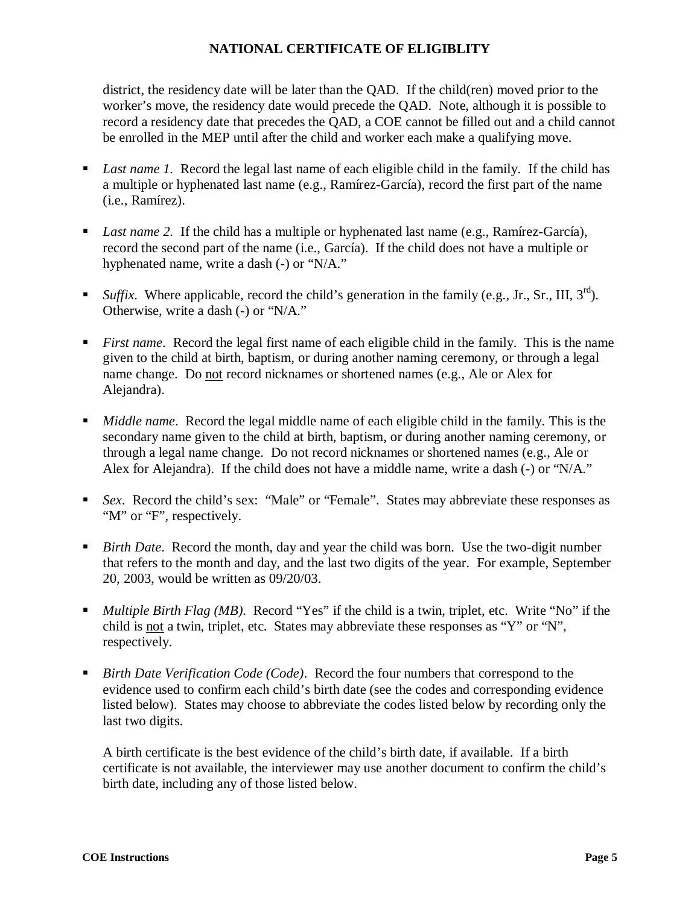district, the residency date will be later than the QAD. If the child(ren) moved prior to the worker's move, the residency date would precede the QAD. Note, although it is possible to record a residency date that precedes the QAD, a COE cannot be filled out and a child cannot be enrolled in the MEP until after the child and worker each make a qualifying move.

- *Last name 1*. Record the legal last name of each eligible child in the family. If the child has a multiple or hyphenated last name (e.g., Ramírez-García), record the first part of the name (i.e., Ramírez).
- *Last name 2.* If the child has a multiple or hyphenated last name (e.g., Ramírez-García), record the second part of the name (i.e., García). If the child does not have a multiple or hyphenated name, write a dash (-) or "N/A."
- *Suffix.* Where applicable, record the child's generation in the family (e.g., Jr., Sr., III,  $3^{rd}$ ). Otherwise, write a dash (-) or "N/A."
- *First name*. Record the legal first name of each eligible child in the family. This is the name given to the child at birth, baptism, or during another naming ceremony, or through a legal name change. Do not record nicknames or shortened names (e.g., Ale or Alex for Alejandra).
- *Middle name*. Record the legal middle name of each eligible child in the family. This is the secondary name given to the child at birth, baptism, or during another naming ceremony, or through a legal name change. Do not record nicknames or shortened names (e.g., Ale or Alex for Alejandra). If the child does not have a middle name, write a dash (-) or "N/A."
- *Sex.* Record the child's sex: "Male" or "Female". States may abbreviate these responses as "M" or "F", respectively.
- *Birth Date*. Record the month, day and year the child was born. Use the two-digit number that refers to the month and day, and the last two digits of the year. For example, September 20, 2003, would be written as 09/20/03.
- *Multiple Birth Flag (MB)*.Record "Yes" if the child is a twin, triplet, etc. Write "No" if the child is not a twin, triplet, etc. States may abbreviate these responses as "Y" or "N", respectively.
- *Birth Date Verification Code (Code)*. Record the four numbers that correspond to the evidence used to confirm each child's birth date (see the codes and corresponding evidence listed below). States may choose to abbreviate the codes listed below by recording only the last two digits.

A birth certificate is the best evidence of the child's birth date, if available. If a birth certificate is not available, the interviewer may use another document to confirm the child's birth date, including any of those listed below.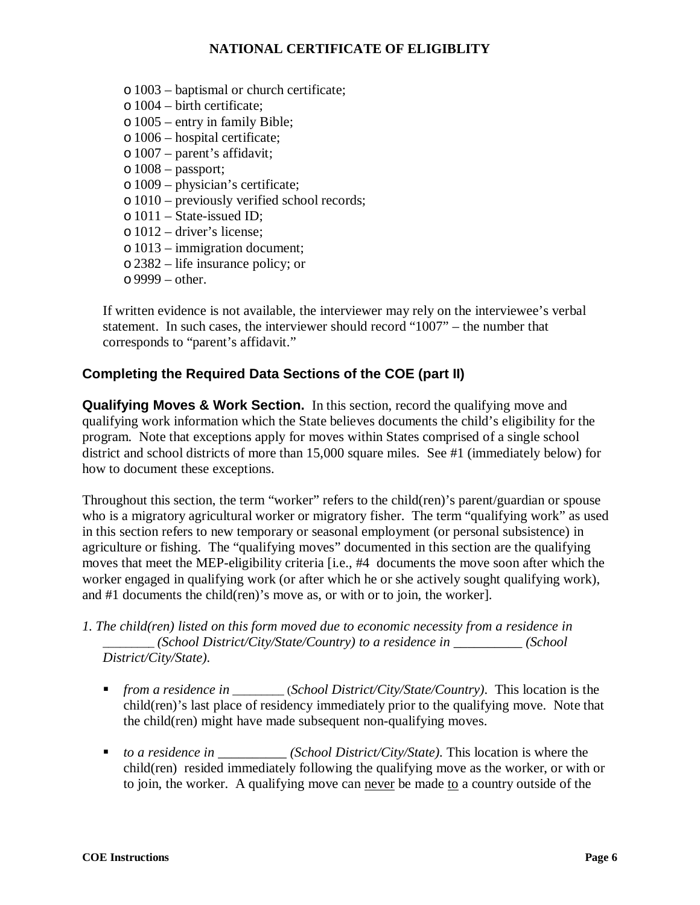- o 1003 baptismal or church certificate;
- o 1004 birth certificate;
- o 1005 entry in family Bible;
- o 1006 hospital certificate;
- o 1007 parent's affidavit;
- o 1008 passport;
- o 1009 physician's certificate;
- o 1010 previously verified school records;
- o 1011 State-issued ID;
- o 1012 driver's license;
- o 1013 immigration document;
- o 2382 life insurance policy; or
- $\circ$  9999 other.

If written evidence is not available, the interviewer may rely on the interviewee's verbal statement. In such cases, the interviewer should record "1007" – the number that corresponds to "parent's affidavit."

#### <span id="page-6-0"></span>**Completing the Required Data Sections of the COE (part II)**

<span id="page-6-1"></span>**Qualifying Moves & Work Section.** In this section, record the qualifying move and qualifying work information which the State believes documents the child's eligibility for the program. Note that exceptions apply for moves within States comprised of a single school district and school districts of more than 15,000 square miles. See #1 (immediately below) for how to document these exceptions.

Throughout this section, the term "worker" refers to the child(ren)'s parent/guardian or spouse who is a migratory agricultural worker or migratory fisher. The term "qualifying work" as used in this section refers to new temporary or seasonal employment (or personal subsistence) in agriculture or fishing. The "qualifying moves" documented in this section are the qualifying moves that meet the MEP-eligibility criteria [i.e., #4 documents the move soon after which the worker engaged in qualifying work (or after which he or she actively sought qualifying work), and #1 documents the child(ren)'s move as, or with or to join, the worker].

- *1. The child(ren) listed on this form moved due to economic necessity from a residence in \_\_\_\_\_\_\_\_\_ (School District/City/State/Country) to a residence in \_\_\_\_\_\_\_\_\_\_ (School District/City/State).*
	- *from a residence in \_\_\_\_\_\_\_\_\_* (*School District/City/State/Country)*. This location is the child(ren)'s last place of residency immediately prior to the qualifying move. Note that the child(ren) might have made subsequent non-qualifying moves.
	- *to a residence in* \_\_\_\_\_\_\_\_\_\_\_ *(School District/City/State)*. This location is where the child(ren) resided immediately following the qualifying move as the worker, or with or to join, the worker. A qualifying move can never be made to a country outside of the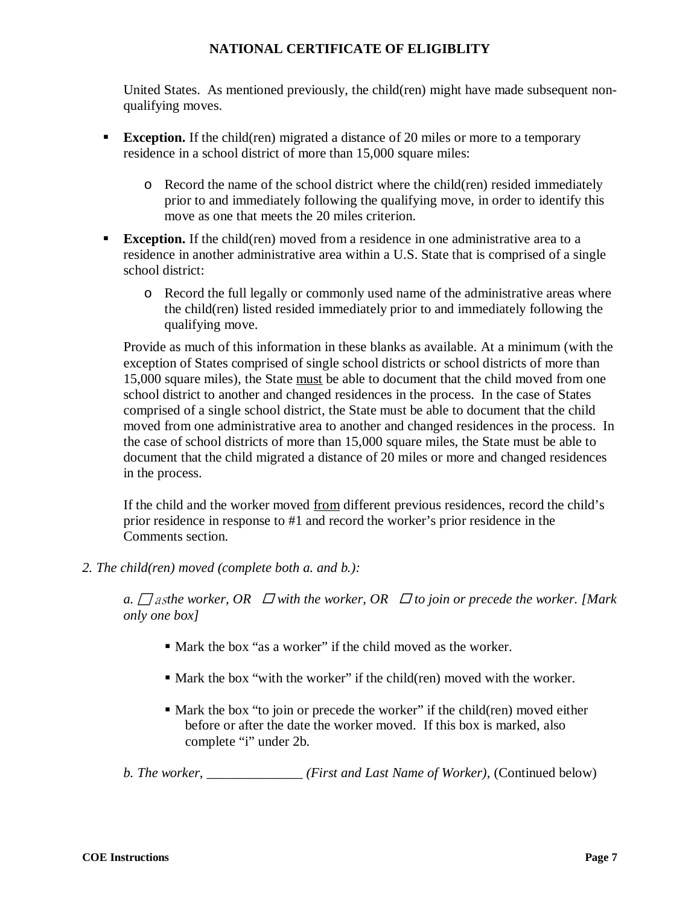United States. As mentioned previously, the child(ren) might have made subsequent nonqualifying moves.

- **Exception.** If the child(ren) migrated a distance of 20 miles or more to a temporary residence in a school district of more than 15,000 square miles:
	- o Record the name of the school district where the child(ren) resided immediately prior to and immediately following the qualifying move, in order to identify this move as one that meets the 20 miles criterion.
- **Exception.** If the child(ren) moved from a residence in one administrative area to a residence in another administrative area within a U.S. State that is comprised of a single school district:
	- o Record the full legally or commonly used name of the administrative areas where the child(ren) listed resided immediately prior to and immediately following the qualifying move.

Provide as much of this information in these blanks as available. At a minimum (with the exception of States comprised of single school districts or school districts of more than 15,000 square miles), the State must be able to document that the child moved from one school district to another and changed residences in the process. In the case of States comprised of a single school district, the State must be able to document that the child moved from one administrative area to another and changed residences in the process. In the case of school districts of more than 15,000 square miles, the State must be able to document that the child migrated a distance of 20 miles or more and changed residences in the process.

If the child and the worker moved from different previous residences, record the child's prior residence in response to #1 and record the worker's prior residence in the Comments section.

*2. The child(ren) moved (complete both a. and b.):*

*a.*  $\Box$  as the worker, OR  $\Box$  with the worker, OR  $\Box$  to join or precede the worker. [Mark  $\Box$ *only one box]*

- Mark the box "as a worker" if the child moved as the worker.
- $\blacksquare$  Mark the box "with the worker" if the child(ren) moved with the worker.
- Mark the box "to join or precede the worker" if the child(ren) moved either before or after the date the worker moved. If this box is marked, also complete "i" under 2b.

*b. The worker, \_\_\_\_\_\_\_\_\_\_\_\_\_\_ (First and Last Name of Worker),* (Continued below)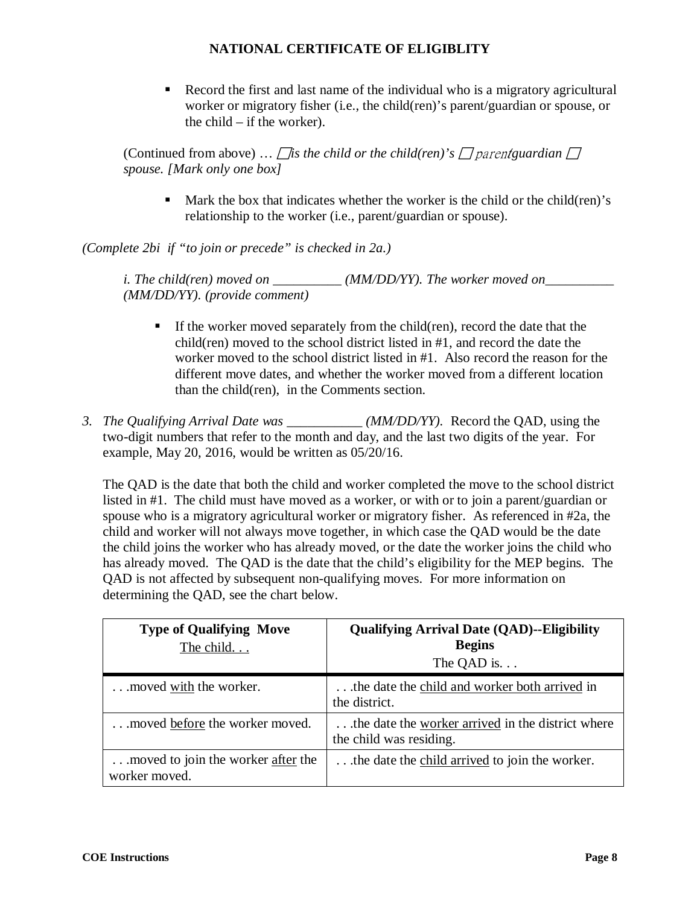Record the first and last name of the individual who is a migratory agricultural worker or migratory fisher (i.e., the child(ren)'s parent/guardian or spouse, or the child  $-$  if the worker).

(Continued from above) ... *fis the child or the child(ren)'s*  $\Box$  *parent guardian*  $\Box$ *spouse. [Mark only one box]*

 Mark the box that indicates whether the worker is the child or the child(ren)'s relationship to the worker (i.e., parent/guardian or spouse).

*(Complete 2bi if "to join or precede" is checked in 2a.)*

*i. The child(ren) moved on \_\_\_\_\_\_\_\_\_\_\_ (MM/DD/YY). The worker moved on \_\_\_\_\_\_\_\_\_ (MM/DD/YY). (provide comment)*

- If the worker moved separately from the child(ren), record the date that the child(ren) moved to the school district listed in #1, and record the date the worker moved to the school district listed in #1. Also record the reason for the different move dates, and whether the worker moved from a different location than the child(ren), in the Comments section.
- *3. The Qualifying Arrival Date was \_\_\_\_\_\_\_\_\_\_\_ (MM/DD/YY).* Record the QAD, using the two-digit numbers that refer to the month and day, and the last two digits of the year. For example, May 20, 2016, would be written as 05/20/16.

The QAD is the date that both the child and worker completed the move to the school district listed in #1. The child must have moved as a worker, or with or to join a parent/guardian or spouse who is a migratory agricultural worker or migratory fisher. As referenced in #2a, the child and worker will not always move together, in which case the QAD would be the date the child joins the worker who has already moved, or the date the worker joins the child who has already moved. The QAD is the date that the child's eligibility for the MEP begins. The QAD is not affected by subsequent non-qualifying moves. For more information on determining the QAD, see the chart below.

| <b>Type of Qualifying Move</b><br>The child         | <b>Qualifying Arrival Date (QAD)--Eligibility</b><br><b>Begins</b><br>The QAD is. $\ldots$ |
|-----------------------------------------------------|--------------------------------------------------------------------------------------------|
| moved with the worker.                              | the date the child and worker both arrived in<br>the district.                             |
| moved before the worker moved.                      | the date the worker arrived in the district where<br>the child was residing.               |
| moved to join the worker after the<br>worker moved. | the date the child arrived to join the worker.                                             |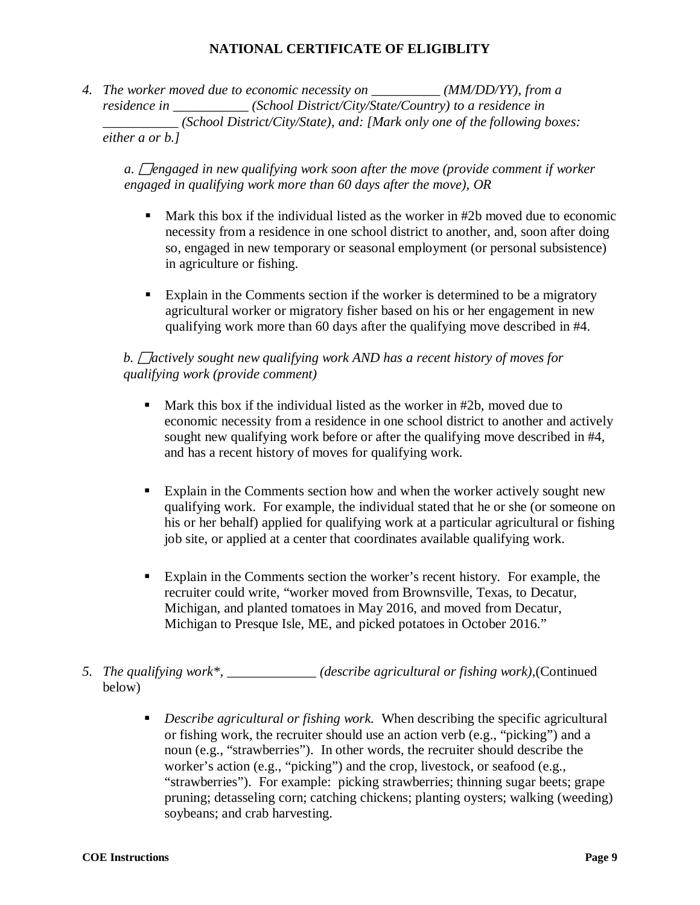*4. The worker moved due to economic necessity on \_\_\_\_\_\_\_\_\_\_ (MM/DD/YY), from a residence in \_\_\_\_\_\_\_\_\_\_\_ (School District/City/State/Country) to a residence in \_\_\_\_\_\_\_\_\_\_\_ (School District/City/State), and: [Mark only one of the following boxes: either a or b.]* 

*a.* □ *engaged in new qualifying work soon after the move (provide comment if worker engaged in qualifying work more than 60 days after the move), OR* 

- $\blacksquare$  Mark this box if the individual listed as the worker in #2b moved due to economic necessity from a residence in one school district to another, and, soon after doing so, engaged in new temporary or seasonal employment (or personal subsistence) in agriculture or fishing.
- Explain in the Comments section if the worker is determined to be a migratory agricultural worker or migratory fisher based on his or her engagement in new qualifying work more than 60 days after the qualifying move described in #4.

### *b.* □ *actively sought new qualifying work AND has a recent history of moves for qualifying work (provide comment)*

- Mark this box if the individual listed as the worker in #2b, moved due to economic necessity from a residence in one school district to another and actively sought new qualifying work before or after the qualifying move described in #4, and has a recent history of moves for qualifying work.
- Explain in the Comments section how and when the worker actively sought new qualifying work. For example, the individual stated that he or she (or someone on his or her behalf) applied for qualifying work at a particular agricultural or fishing job site, or applied at a center that coordinates available qualifying work.
- Explain in the Comments section the worker's recent history. For example, the recruiter could write, "worker moved from Brownsville, Texas, to Decatur, Michigan, and planted tomatoes in May 2016, and moved from Decatur, Michigan to Presque Isle, ME, and picked potatoes in October 2016."
- *5. The qualifying work\*, \_\_\_\_\_\_\_\_\_\_\_\_\_ (describe agricultural or fishing work),*(Continued below)
	- *Describe agricultural or fishing work.* When describing the specific agricultural or fishing work, the recruiter should use an action verb (e.g., "picking") and a noun (e.g., "strawberries"). In other words, the recruiter should describe the worker's action (e.g., "picking") and the crop, livestock, or seafood (e.g., "strawberries"). For example: picking strawberries; thinning sugar beets; grape pruning; detasseling corn; catching chickens; planting oysters; walking (weeding) soybeans; and crab harvesting.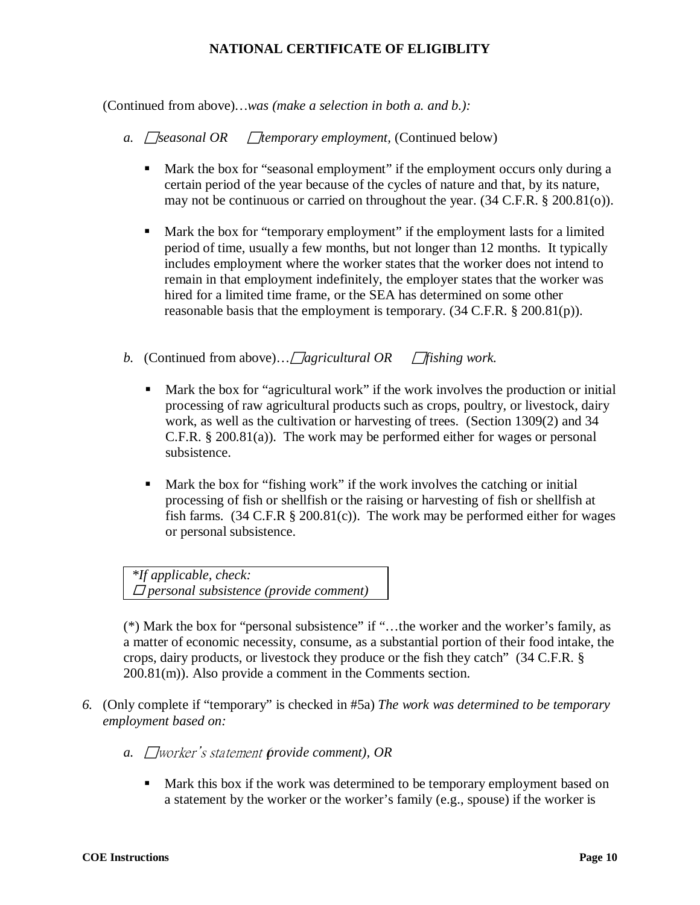(Continued from above)*…was (make a selection in both a. and b.):* 

- *a. Seasonal OR Themporary employment, (Continued below)* 
	- Mark the box for "seasonal employment" if the employment occurs only during a certain period of the year because of the cycles of nature and that, by its nature, may not be continuous or carried on throughout the year. (34 C.F.R. § 200.81(o)).
	- Mark the box for "temporary employment" if the employment lasts for a limited period of time, usually a few months, but not longer than 12 months. It typically includes employment where the worker states that the worker does not intend to remain in that employment indefinitely, the employer states that the worker was hired for a limited time frame, or the SEA has determined on some other reasonable basis that the employment is temporary. (34 C.F.R. § 200.81(p)).
- *b.* (Continued from above)...  $\Box$  *agricultural OR*  $\Box$  *fishing work.* 
	- Mark the box for "agricultural work" if the work involves the production or initial processing of raw agricultural products such as crops, poultry, or livestock, dairy work, as well as the cultivation or harvesting of trees. (Section 1309(2) and 34 C.F.R. § 200.81(a)). The work may be performed either for wages or personal subsistence.
	- Mark the box for "fishing work" if the work involves the catching or initial processing of fish or shellfish or the raising or harvesting of fish or shellfish at fish farms.  $(34 \text{ C.F.R } § 200.81(c))$ . The work may be performed either for wages or personal subsistence.

*\*If applicable, check: personal subsistence (provide comment)* 

(\*) Mark the box for "personal subsistence" if "…the worker and the worker's family, as a matter of economic necessity, consume, as a substantial portion of their food intake, the crops, dairy products, or livestock they produce or the fish they catch" (34 C.F.R. § 200.81(m)). Also provide a comment in the Comments section.

- *6.* (Only complete if "temporary" is checked in #5a) *The work was determined to be temporary employment based on:*
	- *a.* □worker's statement provide comment), OR
		- Mark this box if the work was determined to be temporary employment based on a statement by the worker or the worker's family (e.g., spouse) if the worker is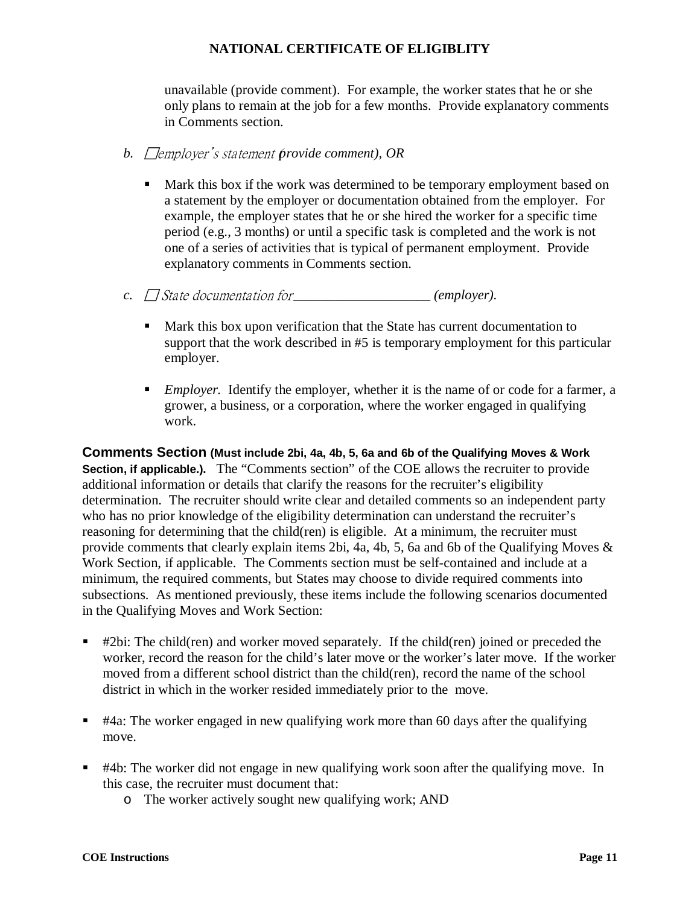unavailable (provide comment). For example, the worker states that he or she only plans to remain at the job for a few months. Provide explanatory comments in Comments section.

- *b.* Temployer's statement provide comment), OR
	- Mark this box if the work was determined to be temporary employment based on a statement by the employer or documentation obtained from the employer. For example, the employer states that he or she hired the worker for a specific time period (e.g., 3 months) or until a specific task is completed and the work is not one of a series of activities that is typical of permanent employment. Provide explanatory comments in Comments section.
- *c.* State documentation for\_\_\_\_\_\_\_\_\_\_\_\_\_\_\_\_\_\_\_\_ *(employer).*
	- Mark this box upon verification that the State has current documentation to support that the work described in #5 is temporary employment for this particular employer.
	- *Employer.* Identify the employer, whether it is the name of or code for a farmer, a grower, a business, or a corporation, where the worker engaged in qualifying work.

<span id="page-11-0"></span>**Comments Section (Must include 2bi, 4a, 4b, 5, 6a and 6b of the Qualifying Moves & Work Section, if applicable.).** The "Comments section" of the COE allows the recruiter to provide additional information or details that clarify the reasons for the recruiter's eligibility determination. The recruiter should write clear and detailed comments so an independent party who has no prior knowledge of the eligibility determination can understand the recruiter's reasoning for determining that the child(ren) is eligible. At a minimum, the recruiter must provide comments that clearly explain items 2bi, 4a, 4b, 5, 6a and 6b of the Qualifying Moves & Work Section, if applicable. The Comments section must be self-contained and include at a minimum, the required comments, but States may choose to divide required comments into subsections. As mentioned previously, these items include the following scenarios documented in the Qualifying Moves and Work Section:

- $\bullet$  #2bi: The child(ren) and worker moved separately. If the child(ren) joined or preceded the worker, record the reason for the child's later move or the worker's later move. If the worker moved from a different school district than the child(ren), record the name of the school district in which in the worker resided immediately prior to the move.
- $\bullet$  #4a: The worker engaged in new qualifying work more than 60 days after the qualifying move.
- #4b: The worker did not engage in new qualifying work soon after the qualifying move. In this case, the recruiter must document that:
	- o The worker actively sought new qualifying work; AND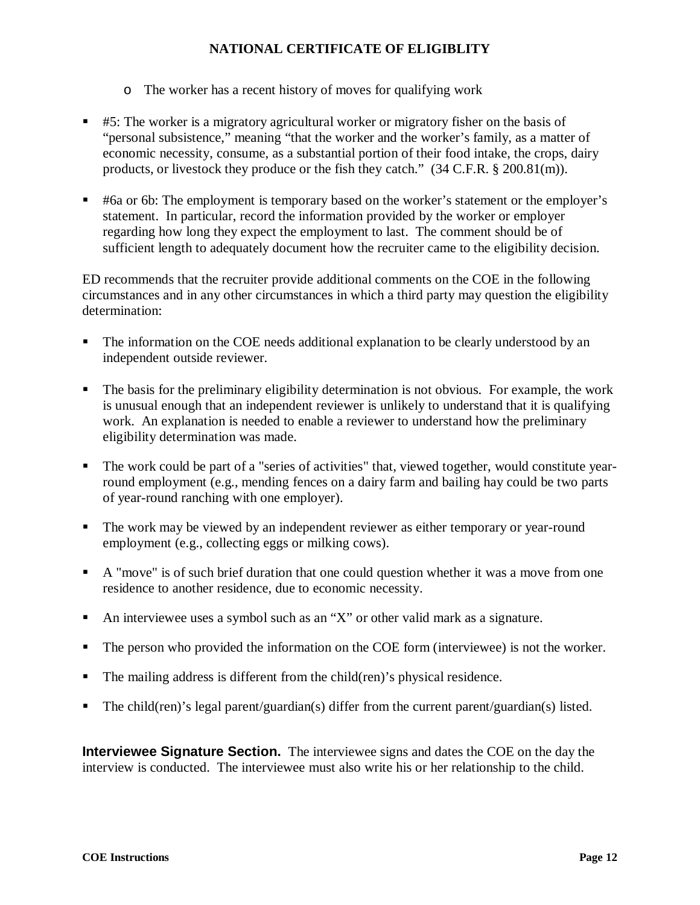- o The worker has a recent history of moves for qualifying work
- #5: The worker is a migratory agricultural worker or migratory fisher on the basis of "personal subsistence," meaning "that the worker and the worker's family, as a matter of economic necessity, consume, as a substantial portion of their food intake, the crops, dairy products, or livestock they produce or the fish they catch." (34 C.F.R. § 200.81(m)).
- #6a or 6b: The employment is temporary based on the worker's statement or the employer's statement. In particular, record the information provided by the worker or employer regarding how long they expect the employment to last. The comment should be of sufficient length to adequately document how the recruiter came to the eligibility decision.

ED recommends that the recruiter provide additional comments on the COE in the following circumstances and in any other circumstances in which a third party may question the eligibility determination:

- The information on the COE needs additional explanation to be clearly understood by an independent outside reviewer.
- The basis for the preliminary eligibility determination is not obvious. For example, the work is unusual enough that an independent reviewer is unlikely to understand that it is qualifying work. An explanation is needed to enable a reviewer to understand how the preliminary eligibility determination was made.
- The work could be part of a "series of activities" that, viewed together, would constitute yearround employment (e.g., mending fences on a dairy farm and bailing hay could be two parts of year-round ranching with one employer).
- The work may be viewed by an independent reviewer as either temporary or year-round employment (e.g., collecting eggs or milking cows).
- A "move" is of such brief duration that one could question whether it was a move from one residence to another residence, due to economic necessity.
- An interviewee uses a symbol such as an "X" or other valid mark as a signature.
- The person who provided the information on the COE form (interviewee) is not the worker.
- The mailing address is different from the child(ren)'s physical residence.
- The child(ren)'s legal parent/guardian(s) differ from the current parent/guardian(s) listed.

<span id="page-12-0"></span>**Interviewee Signature Section.** The interviewee signs and dates the COE on the day the interview is conducted. The interviewee must also write his or her relationship to the child.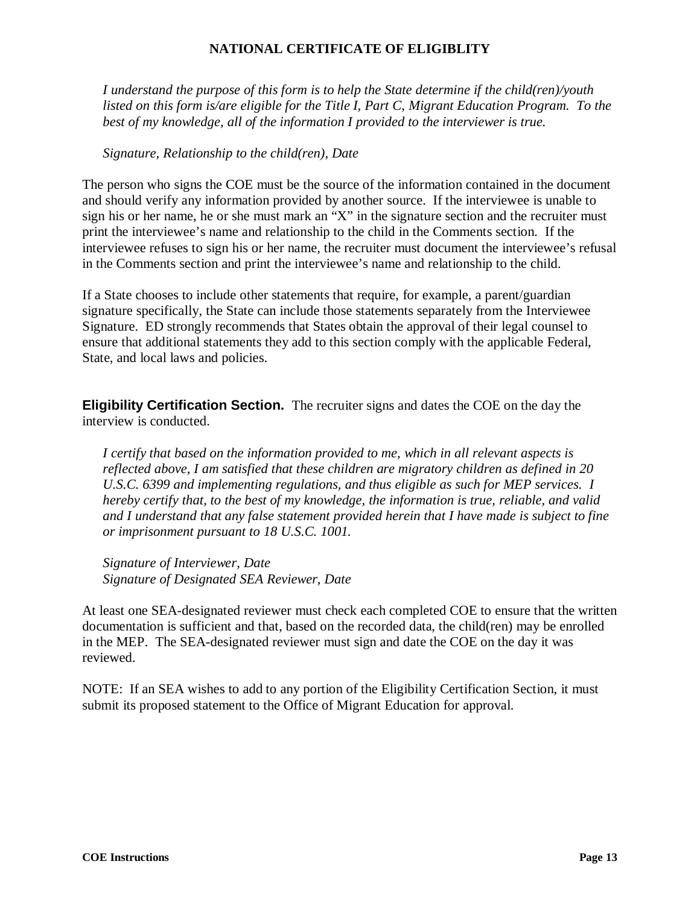*I understand the purpose of this form is to help the State determine if the child(ren)/youth listed on this form is/are eligible for the Title I, Part C, Migrant Education Program. To the best of my knowledge, all of the information I provided to the interviewer is true.*

#### *Signature, Relationship to the child(ren), Date*

The person who signs the COE must be the source of the information contained in the document and should verify any information provided by another source. If the interviewee is unable to sign his or her name, he or she must mark an "X" in the signature section and the recruiter must print the interviewee's name and relationship to the child in the Comments section. If the interviewee refuses to sign his or her name, the recruiter must document the interviewee's refusal in the Comments section and print the interviewee's name and relationship to the child.

If a State chooses to include other statements that require, for example, a parent/guardian signature specifically, the State can include those statements separately from the Interviewee Signature. ED strongly recommends that States obtain the approval of their legal counsel to ensure that additional statements they add to this section comply with the applicable Federal, State, and local laws and policies.

<span id="page-13-0"></span>**Eligibility Certification Section.** The recruiter signs and dates the COE on the day the interview is conducted.

*I certify that based on the information provided to me, which in all relevant aspects is reflected above, I am satisfied that these children are migratory children as defined in 20 U.S.C. 6399 and implementing regulations, and thus eligible as such for MEP services. I hereby certify that, to the best of my knowledge, the information is true, reliable, and valid and I understand that any false statement provided herein that I have made is subject to fine or imprisonment pursuant to 18 U.S.C. 1001.*

*Signature of Interviewer, Date Signature of Designated SEA Reviewer, Date*

At least one SEA-designated reviewer must check each completed COE to ensure that the written documentation is sufficient and that, based on the recorded data, the child(ren) may be enrolled in the MEP. The SEA-designated reviewer must sign and date the COE on the day it was reviewed.

NOTE: If an SEA wishes to add to any portion of the Eligibility Certification Section, it must submit its proposed statement to the Office of Migrant Education for approval.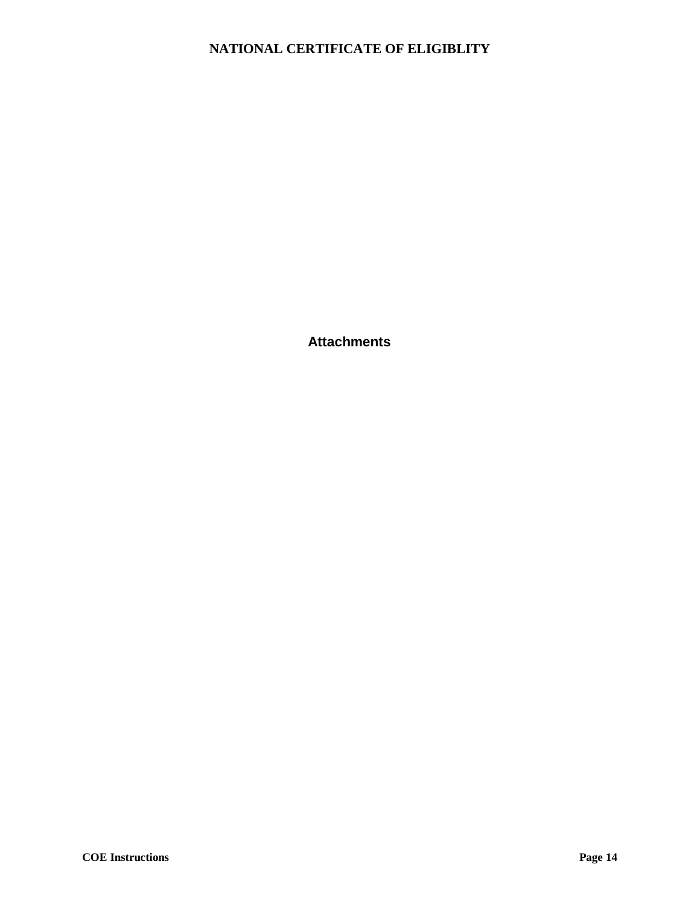<span id="page-14-0"></span>**Attachments**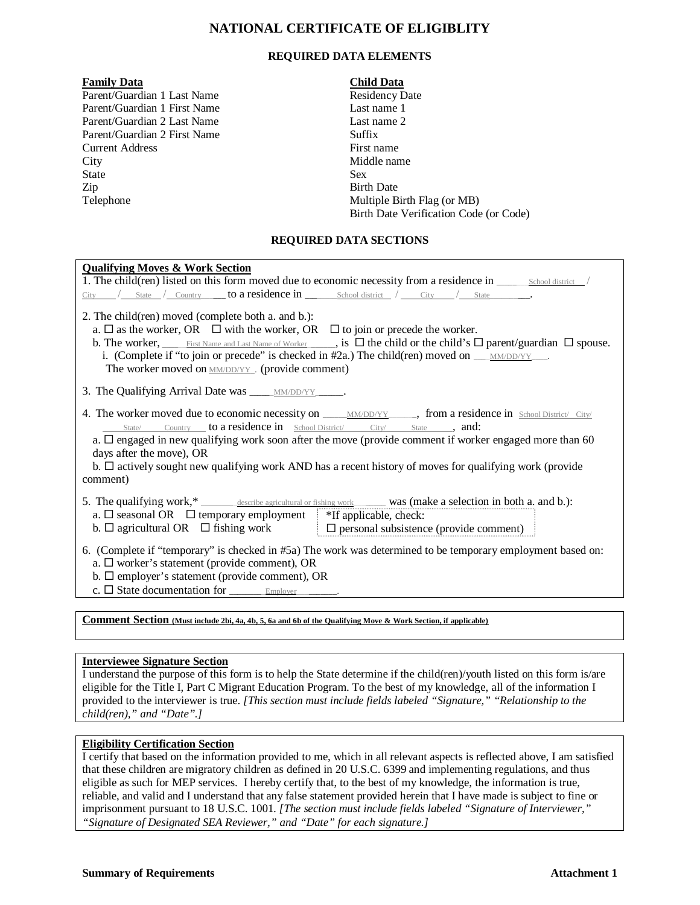#### **REQUIRED DATA ELEMENTS**

#### **Family Data Child Data**

Parent/Guardian 1 Last Name Parent/Guardian 1 First Name Parent/Guardian 2 Last Name Parent/Guardian 2 First Name Current Address City Middle name State Sex Zip Birth Date Telephone

| <b>Residency Date</b>                  |
|----------------------------------------|
| Last name 1                            |
| Last name 2                            |
| Suffix                                 |
| First name                             |
| Middle name                            |
| <b>Sex</b>                             |
| <b>Birth Date</b>                      |
| Multiple Birth Flag (or MB)            |
| Birth Date Verification Code (or Code) |

#### **REQUIRED DATA SECTIONS**

| <b>Qualifying Moves &amp; Work Section</b>                                                                                                                                                                                                                                                                                                                                                                                                                 |  |  |  |  |  |
|------------------------------------------------------------------------------------------------------------------------------------------------------------------------------------------------------------------------------------------------------------------------------------------------------------------------------------------------------------------------------------------------------------------------------------------------------------|--|--|--|--|--|
| 1. The child(ren) listed on this form moved due to economic necessity from a residence in <u>school district</u>                                                                                                                                                                                                                                                                                                                                           |  |  |  |  |  |
|                                                                                                                                                                                                                                                                                                                                                                                                                                                            |  |  |  |  |  |
| 2. The child(ren) moved (complete both a. and b.):<br>a. $\Box$ as the worker, OR $\Box$ with the worker, OR $\Box$ to join or precede the worker.<br>i. (Complete if "to join or precede" is checked in #2a.) The child(ren) moved on $\text{MMDD/YY}$ .<br>The worker moved on <b>MM/DD/YY_</b> . (provide comment)                                                                                                                                      |  |  |  |  |  |
| 3. The Qualifying Arrival Date was <u>MM/DD/YY</u>                                                                                                                                                                                                                                                                                                                                                                                                         |  |  |  |  |  |
| 4. The worker moved due to economic necessity on <u>MMDD/YY</u> from a residence in School District/ City/<br>State/ Country to a residence in School District/ City/ State , and:<br>a. $\Box$ engaged in new qualifying work soon after the move (provide comment if worker engaged more than 60<br>days after the move), OR<br>b. $\Box$ actively sought new qualifying work AND has a recent history of moves for qualifying work (provide<br>comment) |  |  |  |  |  |
| 5. The qualifying work,* ______ describe agricultural or fishing work _______ was (make a selection in both a. and b.):<br>a. $\Box$ seasonal OR $\Box$ temporary employment $\parallel$ *If applicable, check:<br>b. $\Box$ agricultural OR $\Box$ fishing work $\Box$ personal subsistence (provide comment)                                                                                                                                             |  |  |  |  |  |
| 6. (Complete if "temporary" is checked in #5a) The work was determined to be temporary employment based on:<br>a. $\Box$ worker's statement (provide comment), OR<br>b. $\Box$ employer's statement (provide comment), OR<br>$c. \Box$ State documentation for $\Box$ Employer $\Box$ .                                                                                                                                                                    |  |  |  |  |  |

**Comment Section (Must include 2bi, 4a, 4b, 5, 6a and 6b of the Qualifying Move & Work Section, if applicable)**

#### **Interviewee Signature Section**

I understand the purpose of this form is to help the State determine if the child(ren)/youth listed on this form is/are eligible for the Title I, Part C Migrant Education Program. To the best of my knowledge, all of the information I provided to the interviewer is true. *[This section must include fields labeled "Signature," "Relationship to the child(ren)," and "Date".]*

#### **Eligibility Certification Section**

I certify that based on the information provided to me, which in all relevant aspects is reflected above, I am satisfied that these children are migratory children as defined in 20 U.S.C. 6399 and implementing regulations, and thus eligible as such for MEP services. I hereby certify that, to the best of my knowledge, the information is true, reliable, and valid and I understand that any false statement provided herein that I have made is subject to fine or imprisonment pursuant to 18 U.S.C. 1001. *[The section must include fields labeled "Signature of Interviewer," "Signature of Designated SEA Reviewer," and "Date" for each signature.]*